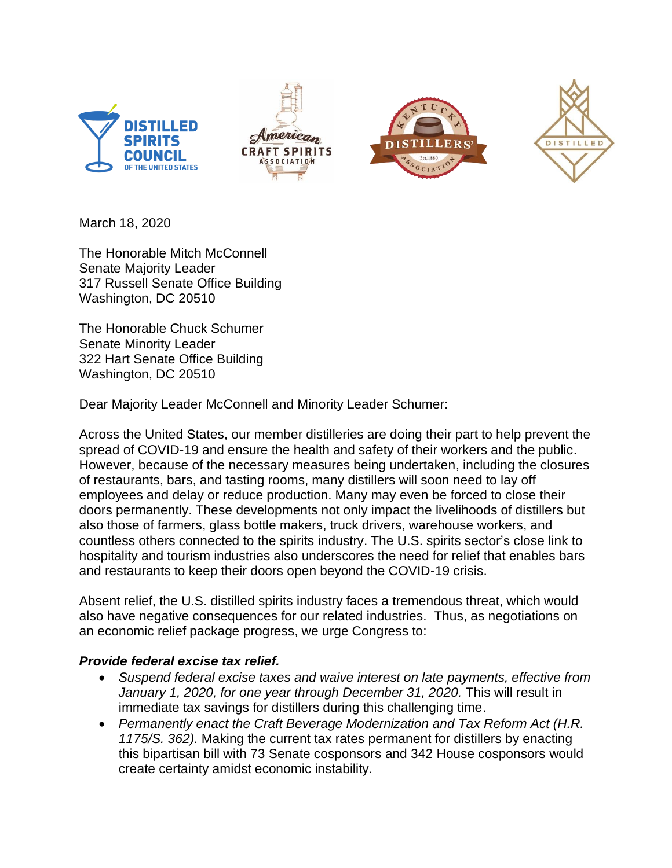







March 18, 2020

The Honorable Mitch McConnell Senate Majority Leader 317 Russell Senate Office Building Washington, DC 20510

The Honorable Chuck Schumer Senate Minority Leader 322 Hart Senate Office Building Washington, DC 20510

Dear Majority Leader McConnell and Minority Leader Schumer:

Across the United States, our member distilleries are doing their part to help prevent the spread of COVID-19 and ensure the health and safety of their workers and the public. However, because of the necessary measures being undertaken, including the closures of restaurants, bars, and tasting rooms, many distillers will soon need to lay off employees and delay or reduce production. Many may even be forced to close their doors permanently. These developments not only impact the livelihoods of distillers but also those of farmers, glass bottle makers, truck drivers, warehouse workers, and countless others connected to the spirits industry. The U.S. spirits sector's close link to hospitality and tourism industries also underscores the need for relief that enables bars and restaurants to keep their doors open beyond the COVID-19 crisis.

Absent relief, the U.S. distilled spirits industry faces a tremendous threat, which would also have negative consequences for our related industries. Thus, as negotiations on an economic relief package progress, we urge Congress to:

## *Provide federal excise tax relief.*

- *Suspend federal excise taxes and waive interest on late payments, effective from January 1, 2020, for one year through December 31, 2020.* This will result in immediate tax savings for distillers during this challenging time.
- *Permanently enact the Craft Beverage Modernization and Tax Reform Act (H.R. 1175/S. 362).* Making the current tax rates permanent for distillers by enacting this bipartisan bill with 73 Senate cosponsors and 342 House cosponsors would create certainty amidst economic instability.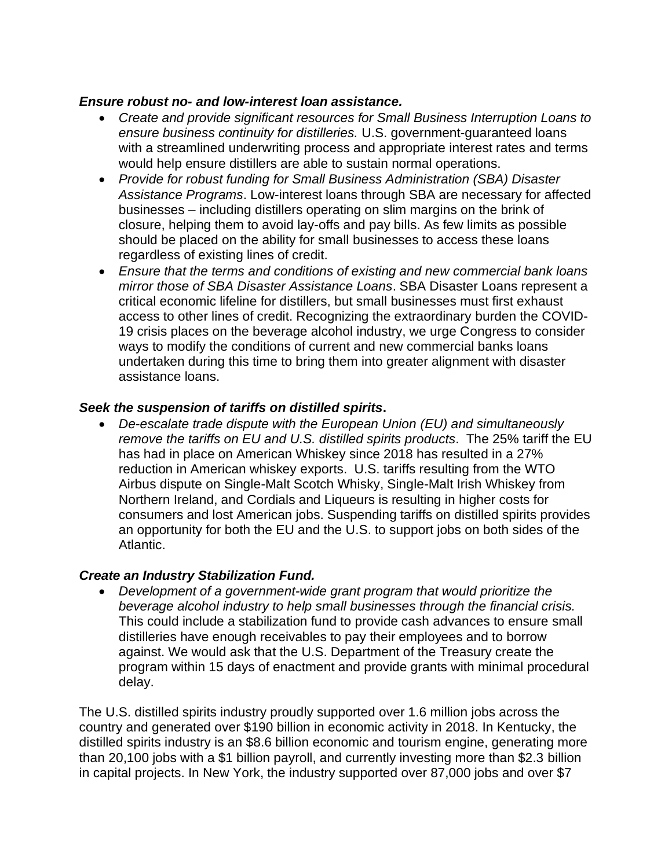## *Ensure robust no- and low-interest loan assistance.*

- *Create and provide significant resources for Small Business Interruption Loans to ensure business continuity for distilleries.* U.S. government-guaranteed loans with a streamlined underwriting process and appropriate interest rates and terms would help ensure distillers are able to sustain normal operations.
- *Provide for robust funding for Small Business Administration (SBA) Disaster Assistance Programs*. Low-interest loans through SBA are necessary for affected businesses – including distillers operating on slim margins on the brink of closure, helping them to avoid lay-offs and pay bills. As few limits as possible should be placed on the ability for small businesses to access these loans regardless of existing lines of credit.
- *Ensure that the terms and conditions of existing and new commercial bank loans mirror those of SBA Disaster Assistance Loans*. SBA Disaster Loans represent a critical economic lifeline for distillers, but small businesses must first exhaust access to other lines of credit. Recognizing the extraordinary burden the COVID-19 crisis places on the beverage alcohol industry, we urge Congress to consider ways to modify the conditions of current and new commercial banks loans undertaken during this time to bring them into greater alignment with disaster assistance loans.

## *Seek the suspension of tariffs on distilled spirits***.**

• *De*-*escalate trade dispute with the European Union (EU) and simultaneously remove the tariffs on EU and U.S. distilled spirits products*. The 25% tariff the EU has had in place on American Whiskey since 2018 has resulted in a 27% reduction in American whiskey exports. U.S. tariffs resulting from the WTO Airbus dispute on Single-Malt Scotch Whisky, Single-Malt Irish Whiskey from Northern Ireland, and Cordials and Liqueurs is resulting in higher costs for consumers and lost American jobs. Suspending tariffs on distilled spirits provides an opportunity for both the EU and the U.S. to support jobs on both sides of the Atlantic.

## *Create an Industry Stabilization Fund.*

• *Development of a government-wide grant program that would prioritize the beverage alcohol industry to help small businesses through the financial crisis.* This could include a stabilization fund to provide cash advances to ensure small distilleries have enough receivables to pay their employees and to borrow against. We would ask that the U.S. Department of the Treasury create the program within 15 days of enactment and provide grants with minimal procedural delay.

The U.S. distilled spirits industry proudly supported over 1.6 million jobs across the country and generated over \$190 billion in economic activity in 2018. In Kentucky, the distilled spirits industry is an \$8.6 billion economic and tourism engine, generating more than 20,100 jobs with a \$1 billion payroll, and currently investing more than \$2.3 billion in capital projects. In New York, the industry supported over 87,000 jobs and over \$7